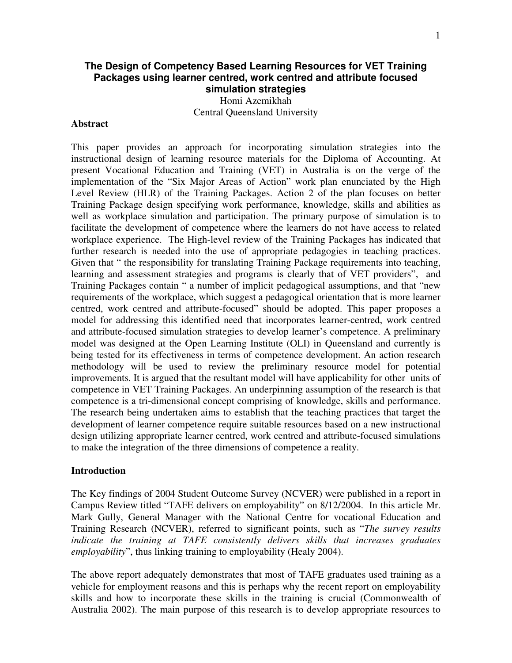# **The Design of Competency Based Learning Resources for VET Training Packages using learner centred, work centred and attribute focused simulation strategies**

Homi Azemikhah Central Queensland University

### **Abstract**

This paper provides an approach for incorporating simulation strategies into the instructional design of learning resource materials for the Diploma of Accounting. At present Vocational Education and Training (VET) in Australia is on the verge of the implementation of the "Six Major Areas of Action" work plan enunciated by the High Level Review (HLR) of the Training Packages. Action 2 of the plan focuses on better Training Package design specifying work performance, knowledge, skills and abilities as well as workplace simulation and participation. The primary purpose of simulation is to facilitate the development of competence where the learners do not have access to related workplace experience. The High-level review of the Training Packages has indicated that further research is needed into the use of appropriate pedagogies in teaching practices. Given that " the responsibility for translating Training Package requirements into teaching, learning and assessment strategies and programs is clearly that of VET providers", and Training Packages contain " a number of implicit pedagogical assumptions, and that "new requirements of the workplace, which suggest a pedagogical orientation that is more learner centred, work centred and attribute-focused" should be adopted. This paper proposes a model for addressing this identified need that incorporates learner-centred, work centred and attribute-focused simulation strategies to develop learner's competence. A preliminary model was designed at the Open Learning Institute (OLI) in Queensland and currently is being tested for its effectiveness in terms of competence development. An action research methodology will be used to review the preliminary resource model for potential improvements. It is argued that the resultant model will have applicability for other units of competence in VET Training Packages. An underpinning assumption of the research is that competence is a tri-dimensional concept comprising of knowledge, skills and performance. The research being undertaken aims to establish that the teaching practices that target the development of learner competence require suitable resources based on a new instructional design utilizing appropriate learner centred, work centred and attribute-focused simulations to make the integration of the three dimensions of competence a reality.

#### **Introduction**

The Key findings of 2004 Student Outcome Survey (NCVER) were published in a report in Campus Review titled "TAFE delivers on employability" on 8/12/2004. In this article Mr. Mark Gully, General Manager with the National Centre for vocational Education and Training Research (NCVER), referred to significant points, such as "*The survey results indicate the training at TAFE consistently delivers skills that increases graduates employability*", thus linking training to employability (Healy 2004).

The above report adequately demonstrates that most of TAFE graduates used training as a vehicle for employment reasons and this is perhaps why the recent report on employability skills and how to incorporate these skills in the training is crucial (Commonwealth of Australia 2002). The main purpose of this research is to develop appropriate resources to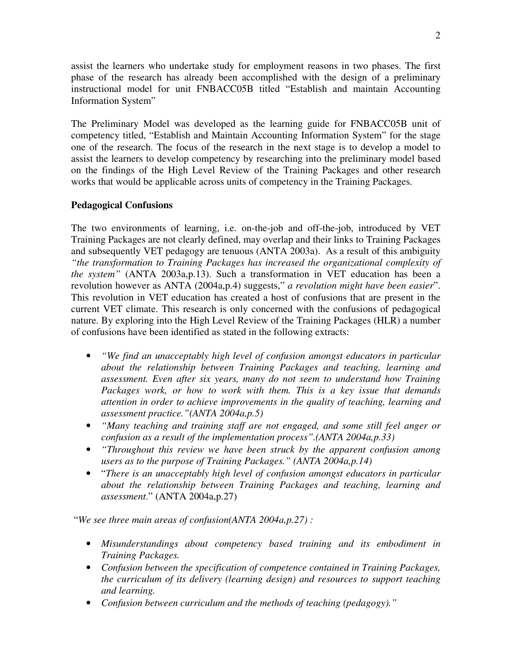assist the learners who undertake study for employment reasons in two phases. The first phase of the research has already been accomplished with the design of a preliminary instructional model for unit FNBACC05B titled "Establish and maintain Accounting Information System"

The Preliminary Model was developed as the learning guide for FNBACC05B unit of competency titled, "Establish and Maintain Accounting Information System" for the stage one of the research. The focus of the research in the next stage is to develop a model to assist the learners to develop competency by researching into the preliminary model based on the findings of the High Level Review of the Training Packages and other research works that would be applicable across units of competency in the Training Packages.

# **Pedagogical Confusions**

The two environments of learning, i.e. on-the-job and off-the-job, introduced by VET Training Packages are not clearly defined, may overlap and their links to Training Packages and subsequently VET pedagogy are tenuous (ANTA 2003a). As a result of this ambiguity *"the transformation to Training Packages has increased the organizational complexity of the system"* (ANTA 2003a,p.13). Such a transformation in VET education has been a revolution however as ANTA (2004a,p.4) suggests," *a revolution might have been easier*". This revolution in VET education has created a host of confusions that are present in the current VET climate. This research is only concerned with the confusions of pedagogical nature. By exploring into the High Level Review of the Training Packages (HLR) a number of confusions have been identified as stated in the following extracts:

- *"We find an unacceptably high level of confusion amongst educators in particular about the relationship between Training Packages and teaching, learning and assessment. Even after six years, many do not seem to understand how Training Packages work, or how to work with them. This is a key issue that demands attention in order to achieve improvements in the quality of teaching, learning and assessment practice."(ANTA 2004a,p.5)*
- *"Many teaching and training staff are not engaged, and some still feel anger or confusion as a result of the implementation process".(ANTA 2004a,p.33)*
- *"Throughout this review we have been struck by the apparent confusion among users as to the purpose of Training Packages." (ANTA 2004a,p.14)*
- "*There is an unacceptably high level of confusion amongst educators in particular about the relationship between Training Packages and teaching, learning and assessment*." (ANTA 2004a,p.27)

"*We see three main areas of confusion(ANTA 2004a,p.27) :*

- *Misunderstandings about competency based training and its embodiment in Training Packages.*
- *Confusion between the specification of competence contained in Training Packages, the curriculum of its delivery (learning design) and resources to support teaching and learning.*
- *Confusion between curriculum and the methods of teaching (pedagogy)."*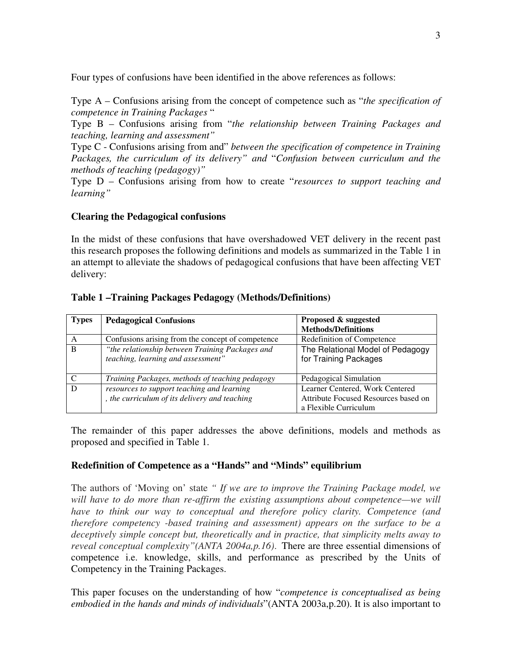Four types of confusions have been identified in the above references as follows:

Type A – Confusions arising from the concept of competence such as "*the specification of competence in Training Packages* "

Type B – Confusions arising from "*the relationship between Training Packages and teaching, learning and assessment"*

Type C - Confusions arising from and" *between the specification of competence in Training Packages, the curriculum of its delivery" and* "*Confusion between curriculum and the methods of teaching (pedagogy)"*

Type D – Confusions arising from how to create "*resources to support teaching and learning"*

# **Clearing the Pedagogical confusions**

In the midst of these confusions that have overshadowed VET delivery in the recent past this research proposes the following definitions and models as summarized in the Table 1 in an attempt to alleviate the shadows of pedagogical confusions that have been affecting VET delivery:

# **Table 1 –Training Packages Pedagogy (Methods/Definitions)**

| <b>Types</b> | <b>Pedagogical Confusions</b>                                                         | Proposed & suggested<br><b>Methods/Definitions</b>            |
|--------------|---------------------------------------------------------------------------------------|---------------------------------------------------------------|
| A            | Confusions arising from the concept of competence                                     | Redefinition of Competence                                    |
| B            | "the relationship between Training Packages and<br>teaching, learning and assessment" | The Relational Model of Pedagogy<br>for Training Packages     |
|              | Training Packages, methods of teaching pedagogy                                       | Pedagogical Simulation                                        |
| D            | resources to support teaching and learning                                            | Learner Centered, Work Centered                               |
|              | , the curriculum of its delivery and teaching                                         | Attribute Focused Resources based on<br>a Flexible Curriculum |

The remainder of this paper addresses the above definitions, models and methods as proposed and specified in Table 1.

# **Redefinition of Competence as a "Hands" and "Minds" equilibrium**

The authors of 'Moving on' state *" If we are to improve the Training Package model, we will have to do more than re-affirm the existing assumptions about competence—we will have to think our way to conceptual and therefore policy clarity. Competence (and therefore competency -based training and assessment) appears on the surface to be a deceptively simple concept but, theoretically and in practice, that simplicity melts away to reveal conceptual complexity"(ANTA 2004a,p.16).* There are three essential dimensions of competence i.e. knowledge, skills, and performance as prescribed by the Units of Competency in the Training Packages.

This paper focuses on the understanding of how "*competence is conceptualised as being embodied in the hands and minds of individuals*"(ANTA 2003a,p.20). It is also important to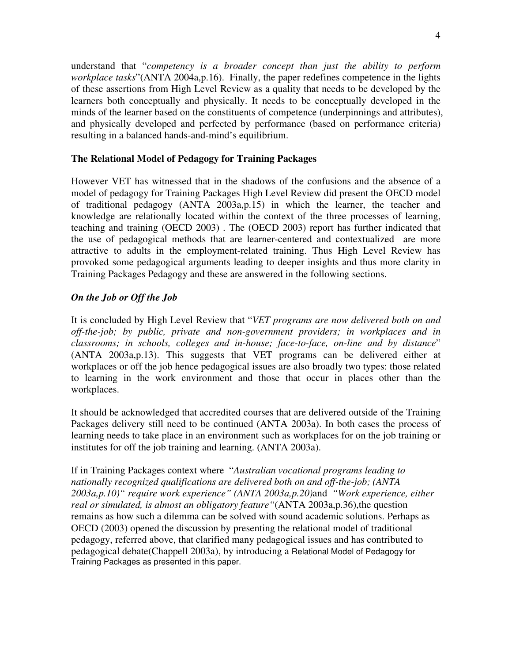understand that "*competency is a broader concept than just the ability to perform workplace tasks*"(ANTA 2004a,p.16). Finally, the paper redefines competence in the lights of these assertions from High Level Review as a quality that needs to be developed by the learners both conceptually and physically. It needs to be conceptually developed in the minds of the learner based on the constituents of competence (underpinnings and attributes), and physically developed and perfected by performance (based on performance criteria) resulting in a balanced hands-and-mind's equilibrium.

# **The Relational Model of Pedagogy for Training Packages**

However VET has witnessed that in the shadows of the confusions and the absence of a model of pedagogy for Training Packages High Level Review did present the OECD model of traditional pedagogy (ANTA 2003a,p.15) in which the learner, the teacher and knowledge are relationally located within the context of the three processes of learning, teaching and training (OECD 2003) . The (OECD 2003) report has further indicated that the use of pedagogical methods that are learner-centered and contextualized are more attractive to adults in the employment-related training. Thus High Level Review has provoked some pedagogical arguments leading to deeper insights and thus more clarity in Training Packages Pedagogy and these are answered in the following sections.

# *On the Job or Off the Job*

It is concluded by High Level Review that "*VET programs are now delivered both on and off-the-job; by public, private and non-government providers; in workplaces and in classrooms; in schools, colleges and in-house; face-to-face, on-line and by distance*" (ANTA 2003a,p.13). This suggests that VET programs can be delivered either at workplaces or off the job hence pedagogical issues are also broadly two types: those related to learning in the work environment and those that occur in places other than the workplaces.

It should be acknowledged that accredited courses that are delivered outside of the Training Packages delivery still need to be continued (ANTA 2003a). In both cases the process of learning needs to take place in an environment such as workplaces for on the job training or institutes for off the job training and learning. (ANTA 2003a).

If in Training Packages context where "*Australian vocational programs leading to nationally recognized qualifications are delivered both on and off-the-job; (ANTA 2003a,p.10)" require work experience" (ANTA 2003a,p.20)*and *"Work experience, either real or simulated, is almost an obligatory feature"*(ANTA 2003a,p.36),the question remains as how such a dilemma can be solved with sound academic solutions. Perhaps as OECD (2003) opened the discussion by presenting the relational model of traditional pedagogy, referred above, that clarified many pedagogical issues and has contributed to pedagogical debate(Chappell 2003a), by introducing a Relational Model of Pedagogy for Training Packages as presented in this paper.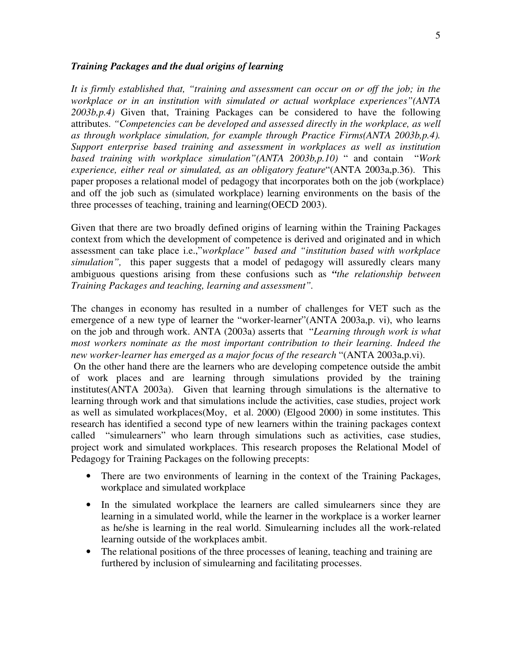#### *Training Packages and the dual origins of learning*

*It is firmly established that, "training and assessment can occur on or off the job; in the workplace or in an institution with simulated or actual workplace experiences"(ANTA 2003b,p.4)* Given that, Training Packages can be considered to have the following attributes. *"Competencies can be developed and assessed directly in the workplace, as well as through workplace simulation, for example through Practice Firms(ANTA 2003b,p.4). Support enterprise based training and assessment in workplaces as well as institution based training with workplace simulation"(ANTA 2003b,p.10)* " and contain "*Work experience, either real or simulated, as an obligatory feature*"(ANTA 2003a,p.36). This paper proposes a relational model of pedagogy that incorporates both on the job (workplace) and off the job such as (simulated workplace) learning environments on the basis of the three processes of teaching, training and learning(OECD 2003).

Given that there are two broadly defined origins of learning within the Training Packages context from which the development of competence is derived and originated and in which assessment can take place i.e.,"*workplace" based and "institution based with workplace simulation",* this paper suggests that a model of pedagogy will assuredly clears many ambiguous questions arising from these confusions such as *"the relationship between Training Packages and teaching, learning and assessment".*

The changes in economy has resulted in a number of challenges for VET such as the emergence of a new type of learner the "worker-learner"(ANTA 2003a,p. vi), who learns on the job and through work. ANTA (2003a) asserts that "*Learning through work is what most workers nominate as the most important contribution to their learning. Indeed the new worker-learner has emerged as a major focus of the research* "(ANTA 2003a,p.vi).

On the other hand there are the learners who are developing competence outside the ambit of work places and are learning through simulations provided by the training institutes(ANTA 2003a). Given that learning through simulations is the alternative to learning through work and that simulations include the activities, case studies, project work as well as simulated workplaces(Moy, et al. 2000) (Elgood 2000) in some institutes. This research has identified a second type of new learners within the training packages context called "simulearners" who learn through simulations such as activities, case studies, project work and simulated workplaces. This research proposes the Relational Model of Pedagogy for Training Packages on the following precepts:

- There are two environments of learning in the context of the Training Packages, workplace and simulated workplace
- In the simulated workplace the learners are called simulearners since they are learning in a simulated world, while the learner in the workplace is a worker learner as he/she is learning in the real world. Simulearning includes all the work-related learning outside of the workplaces ambit.
- The relational positions of the three processes of leaning, teaching and training are furthered by inclusion of simulearning and facilitating processes.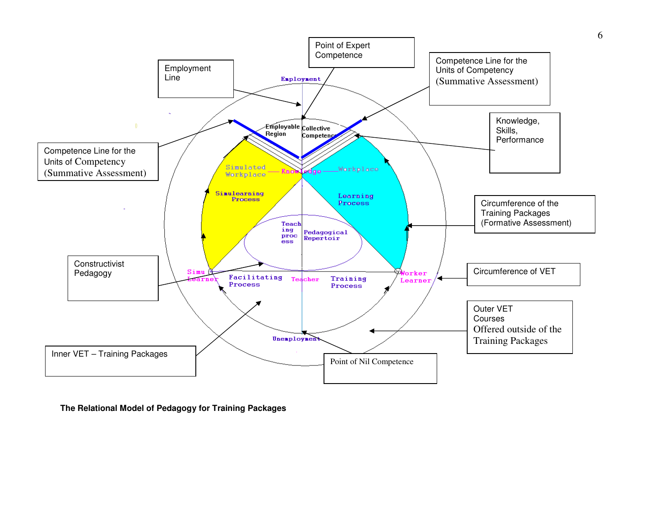

**The Relational Model of Pedagogy for Training Packages**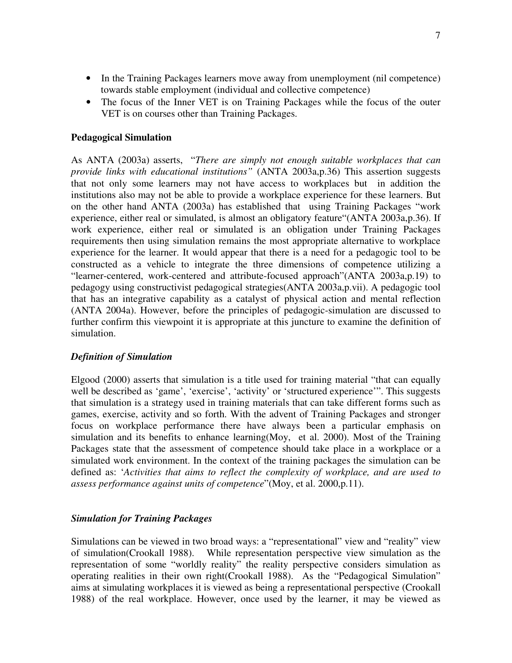- In the Training Packages learners move away from unemployment (nil competence) towards stable employment (individual and collective competence)
- The focus of the Inner VET is on Training Packages while the focus of the outer VET is on courses other than Training Packages.

## **Pedagogical Simulation**

As ANTA (2003a) asserts, "*There are simply not enough suitable workplaces that can provide links with educational institutions"* (ANTA 2003a,p.36) This assertion suggests that not only some learners may not have access to workplaces but in addition the institutions also may not be able to provide a workplace experience for these learners. But on the other hand ANTA (2003a) has established that using Training Packages "work experience, either real or simulated, is almost an obligatory feature"(ANTA 2003a,p.36). If work experience, either real or simulated is an obligation under Training Packages requirements then using simulation remains the most appropriate alternative to workplace experience for the learner. It would appear that there is a need for a pedagogic tool to be constructed as a vehicle to integrate the three dimensions of competence utilizing a "learner-centered, work-centered and attribute-focused approach"(ANTA 2003a,p.19) to pedagogy using constructivist pedagogical strategies(ANTA 2003a,p.vii). A pedagogic tool that has an integrative capability as a catalyst of physical action and mental reflection (ANTA 2004a). However, before the principles of pedagogic-simulation are discussed to further confirm this viewpoint it is appropriate at this juncture to examine the definition of simulation.

### *Definition of Simulation*

Elgood (2000) asserts that simulation is a title used for training material "that can equally well be described as 'game', 'exercise', 'activity' or 'structured experience'". This suggests that simulation is a strategy used in training materials that can take different forms such as games, exercise, activity and so forth. With the advent of Training Packages and stronger focus on workplace performance there have always been a particular emphasis on simulation and its benefits to enhance learning(Moy, et al. 2000). Most of the Training Packages state that the assessment of competence should take place in a workplace or a simulated work environment. In the context of the training packages the simulation can be defined as: '*Activities that aims to reflect the complexity of workplace, and are used to assess performance against units of competence*"(Moy, et al. 2000,p.11).

### *Simulation for Training Packages*

Simulations can be viewed in two broad ways: a "representational" view and "reality" view of simulation(Crookall 1988). While representation perspective view simulation as the representation of some "worldly reality" the reality perspective considers simulation as operating realities in their own right(Crookall 1988). As the "Pedagogical Simulation" aims at simulating workplaces it is viewed as being a representational perspective (Crookall 1988) of the real workplace. However, once used by the learner, it may be viewed as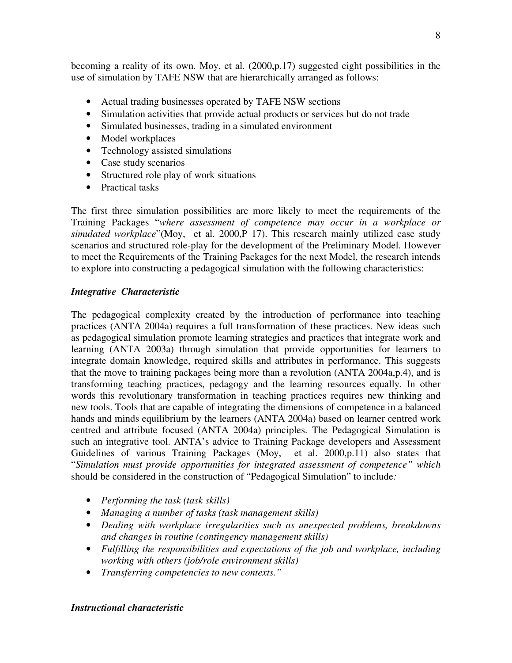becoming a reality of its own. Moy, et al. (2000,p.17) suggested eight possibilities in the use of simulation by TAFE NSW that are hierarchically arranged as follows:

- Actual trading businesses operated by TAFE NSW sections
- Simulation activities that provide actual products or services but do not trade
- Simulated businesses, trading in a simulated environment
- Model workplaces
- Technology assisted simulations
- Case study scenarios
- Structured role play of work situations
- Practical tasks

The first three simulation possibilities are more likely to meet the requirements of the Training Packages "*where assessment of competence may occur in a workplace or simulated workplace*"(Moy, et al. 2000,P 17). This research mainly utilized case study scenarios and structured role-play for the development of the Preliminary Model. However to meet the Requirements of the Training Packages for the next Model, the research intends to explore into constructing a pedagogical simulation with the following characteristics:

# *Integrative Characteristic*

The pedagogical complexity created by the introduction of performance into teaching practices (ANTA 2004a) requires a full transformation of these practices. New ideas such as pedagogical simulation promote learning strategies and practices that integrate work and learning (ANTA 2003a) through simulation that provide opportunities for learners to integrate domain knowledge, required skills and attributes in performance. This suggests that the move to training packages being more than a revolution (ANTA 2004a,p.4), and is transforming teaching practices, pedagogy and the learning resources equally. In other words this revolutionary transformation in teaching practices requires new thinking and new tools. Tools that are capable of integrating the dimensions of competence in a balanced hands and minds equilibrium by the learners (ANTA 2004a) based on learner centred work centred and attribute focused (ANTA 2004a) principles. The Pedagogical Simulation is such an integrative tool. ANTA's advice to Training Package developers and Assessment Guidelines of various Training Packages (Moy, et al. 2000,p.11) also states that "*Simulation must provide opportunities for integrated assessment of competence" which* should be considered in the construction of "Pedagogical Simulation" to include*:*

- *Performing the task (task skills)*
- *Managing a number of tasks (task management skills)*
- *Dealing with workplace irregularities such as unexpected problems, breakdowns and changes in routine (contingency management skills)*
- *Fulfilling the responsibilities and expectations of the job and workplace, including working with others (job/role environment skills)*
- *Transferring competencies to new contexts."*

# *Instructional characteristic*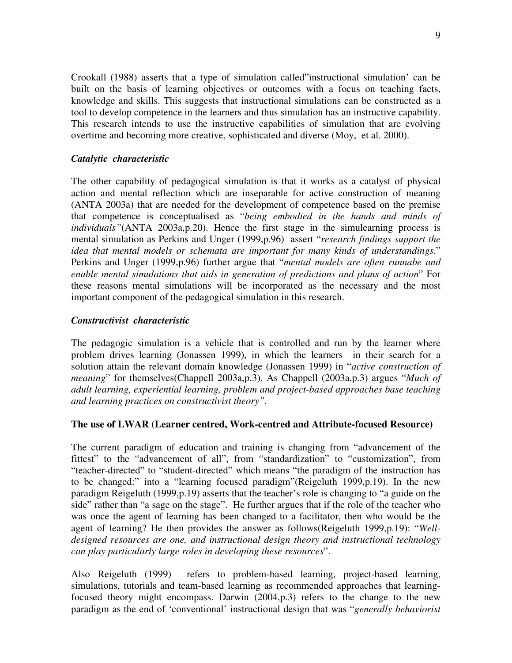Crookall (1988) asserts that a type of simulation called"instructional simulation' can be built on the basis of learning objectives or outcomes with a focus on teaching facts, knowledge and skills. This suggests that instructional simulations can be constructed as a tool to develop competence in the learners and thus simulation has an instructive capability. This research intends to use the instructive capabilities of simulation that are evolving overtime and becoming more creative, sophisticated and diverse (Moy, et al. 2000).

### *Catalytic characteristic*

The other capability of pedagogical simulation is that it works as a catalyst of physical action and mental reflection which are inseparable for active construction of meaning (ANTA 2003a) that are needed for the development of competence based on the premise that competence is conceptualised as "*being embodied in the hands and minds of individuals"*(ANTA 2003a,p.20). Hence the first stage in the simulearning process is mental simulation as Perkins and Unger (1999,p.96) assert "*research findings support the idea that mental models or schemata are important for many kinds of understandings*." Perkins and Unger (1999,p.96) further argue that "*mental models are often runnabe and enable mental simulations that aids in generation of predictions and plans of action*" For these reasons mental simulations will be incorporated as the necessary and the most important component of the pedagogical simulation in this research.

## *Constructivist characteristic*

The pedagogic simulation is a vehicle that is controlled and run by the learner where problem drives learning (Jonassen 1999), in which the learners in their search for a solution attain the relevant domain knowledge (Jonassen 1999) in "*active construction of meaning*" for themselves(Chappell 2003a,p.3). As Chappell (2003a,p.3) argues "*Much of adult learning, experiential learning, problem and project-based approaches base teaching and learning practices on constructivist theory".*

### **The use of LWAR (Learner centred, Work-centred and Attribute-focused Resource)**

The current paradigm of education and training is changing from "advancement of the fittest" to the "advancement of all", from "standardization" to "customization", from "teacher-directed" to "student-directed" which means "the paradigm of the instruction has to be changed:" into a "learning focused paradigm"(Reigeluth 1999,p.19). In the new paradigm Reigeluth (1999,p.19) asserts that the teacher's role is changing to "a guide on the side" rather than "a sage on the stage". He further argues that if the role of the teacher who was once the agent of learning has been changed to a facilitator, then who would be the agent of learning? He then provides the answer as follows(Reigeluth 1999,p.19): "*Welldesigned resources are one, and instructional design theory and instructional technology can play particularly large roles in developing these resources*".

Also Reigeluth (1999) refers to problem-based learning, project-based learning, simulations, tutorials and team-based learning as recommended approaches that learningfocused theory might encompass. Darwin (2004,p.3) refers to the change to the new paradigm as the end of 'conventional' instructional design that was "*generally behaviorist*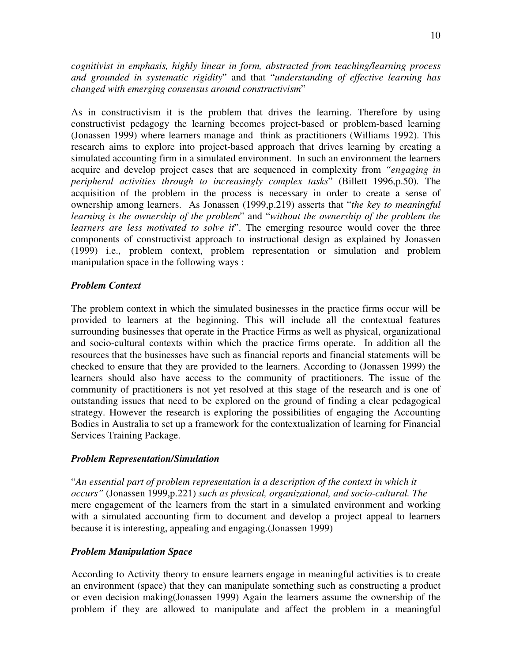*cognitivist in emphasis, highly linear in form, abstracted from teaching/learning process and grounded in systematic rigidity*" and that "*understanding of effective learning has changed with emerging consensus around constructivism*"

As in constructivism it is the problem that drives the learning. Therefore by using constructivist pedagogy the learning becomes project-based or problem-based learning (Jonassen 1999) where learners manage and think as practitioners (Williams 1992). This research aims to explore into project-based approach that drives learning by creating a simulated accounting firm in a simulated environment. In such an environment the learners acquire and develop project cases that are sequenced in complexity from *"engaging in peripheral activities through to increasingly complex tasks*" (Billett 1996,p.50). The acquisition of the problem in the process is necessary in order to create a sense of ownership among learners. As Jonassen (1999,p.219) asserts that "*the key to meaningful learning is the ownership of the problem*" and "*without the ownership of the problem the learners are less motivated to solve it*". The emerging resource would cover the three components of constructivist approach to instructional design as explained by Jonassen (1999) i.e., problem context, problem representation or simulation and problem manipulation space in the following ways :

## *Problem Context*

The problem context in which the simulated businesses in the practice firms occur will be provided to learners at the beginning. This will include all the contextual features surrounding businesses that operate in the Practice Firms as well as physical, organizational and socio-cultural contexts within which the practice firms operate. In addition all the resources that the businesses have such as financial reports and financial statements will be checked to ensure that they are provided to the learners. According to (Jonassen 1999) the learners should also have access to the community of practitioners. The issue of the community of practitioners is not yet resolved at this stage of the research and is one of outstanding issues that need to be explored on the ground of finding a clear pedagogical strategy. However the research is exploring the possibilities of engaging the Accounting Bodies in Australia to set up a framework for the contextualization of learning for Financial Services Training Package.

# *Problem Representation/Simulation*

"*An essential part of problem representation is a description of the context in which it occurs"* (Jonassen 1999,p.221) *such as physical, organizational, and socio-cultural. The* mere engagement of the learners from the start in a simulated environment and working with a simulated accounting firm to document and develop a project appeal to learners because it is interesting, appealing and engaging.(Jonassen 1999)

# *Problem Manipulation Space*

According to Activity theory to ensure learners engage in meaningful activities is to create an environment (space) that they can manipulate something such as constructing a product or even decision making(Jonassen 1999) Again the learners assume the ownership of the problem if they are allowed to manipulate and affect the problem in a meaningful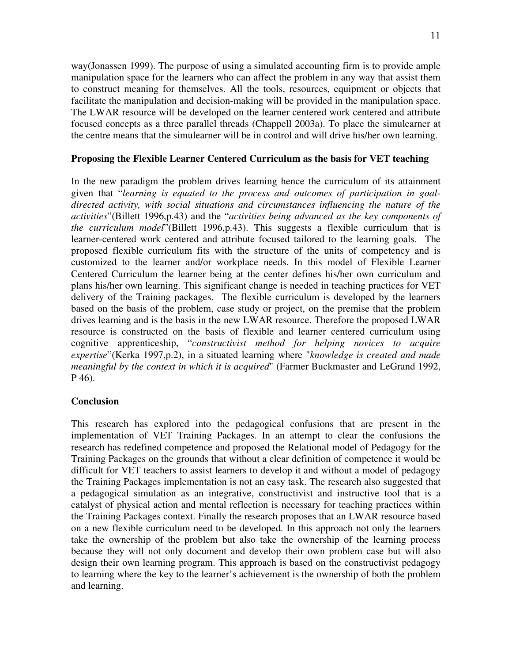way(Jonassen 1999). The purpose of using a simulated accounting firm is to provide ample manipulation space for the learners who can affect the problem in any way that assist them to construct meaning for themselves. All the tools, resources, equipment or objects that facilitate the manipulation and decision-making will be provided in the manipulation space. The LWAR resource will be developed on the learner centered work centered and attribute focused concepts as a three parallel threads (Chappell 2003a). To place the simulearner at the centre means that the simulearner will be in control and will drive his/her own learning.

## **Proposing the Flexible Learner Centered Curriculum as the basis for VET teaching**

In the new paradigm the problem drives learning hence the curriculum of its attainment given that "*learning is equated to the process and outcomes of participation in goaldirected activity, with social situations and circumstances influencing the nature of the activities*"(Billett 1996,p.43) and the "*activities being advanced as the key components of the curriculum model*"(Billett 1996,p.43). This suggests a flexible curriculum that is learner-centered work centered and attribute focused tailored to the learning goals. The proposed flexible curriculum fits with the structure of the units of competency and is customized to the learner and/or workplace needs. In this model of Flexible Learner Centered Curriculum the learner being at the center defines his/her own curriculum and plans his/her own learning. This significant change is needed in teaching practices for VET delivery of the Training packages. The flexible curriculum is developed by the learners based on the basis of the problem, case study or project, on the premise that the problem drives learning and is the basis in the new LWAR resource. Therefore the proposed LWAR resource is constructed on the basis of flexible and learner centered curriculum using cognitive apprenticeship, "*constructivist method for helping novices to acquire expertise*"(Kerka 1997,p.2), in a situated learning where "*knowledge is created and made meaningful by the context in which it is acquired*" (Farmer Buckmaster and LeGrand 1992, P 46).

### **Conclusion**

This research has explored into the pedagogical confusions that are present in the implementation of VET Training Packages. In an attempt to clear the confusions the research has redefined competence and proposed the Relational model of Pedagogy for the Training Packages on the grounds that without a clear definition of competence it would be difficult for VET teachers to assist learners to develop it and without a model of pedagogy the Training Packages implementation is not an easy task. The research also suggested that a pedagogical simulation as an integrative, constructivist and instructive tool that is a catalyst of physical action and mental reflection is necessary for teaching practices within the Training Packages context. Finally the research proposes that an LWAR resource based on a new flexible curriculum need to be developed. In this approach not only the learners take the ownership of the problem but also take the ownership of the learning process because they will not only document and develop their own problem case but will also design their own learning program. This approach is based on the constructivist pedagogy to learning where the key to the learner's achievement is the ownership of both the problem and learning.